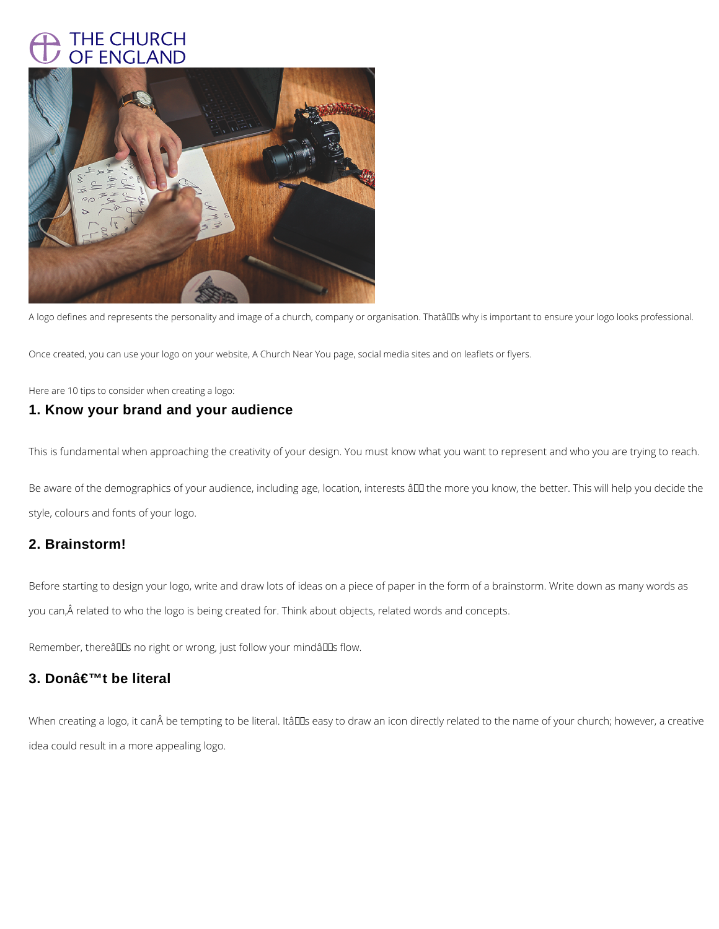# THE CHURCH OF ENGLAND



A logo defines and represents the personality and image of a church, company or organisation. Thatâll us why is important to ensure your logo looks professional.

Once created, you can use your logo on your website, A Church Near You page, social media sites and on leaflets or flyers.

Here are 10 tips to consider when creating a logo:

Be aware of the demographics of your audience, including age, location, interests âll the more you know, the better. This will help you decide the style, colours and fonts of your logo.

# **1. Know your brand and your audience**

Before starting to design your logo, write and draw lots of ideas on a piece of paper in the form of a brainstorm. Write down as many words as you can, Â related to who the logo is being created for. Think about objects, related words and concepts.

Remember, thereâlls no right or wrong, just follow your mindâlls flow.

# **3. Don't be literal**

When creating a logo, it can be tempting to be literal. ItâDDs easy to draw an icon directly related to the name of your church; however, a creative

This is fundamental when approaching the creativity of your design. You must know what you want to represent and who you are trying to reach.

# **2. Brainstorm!**

idea could result in a more appealing logo.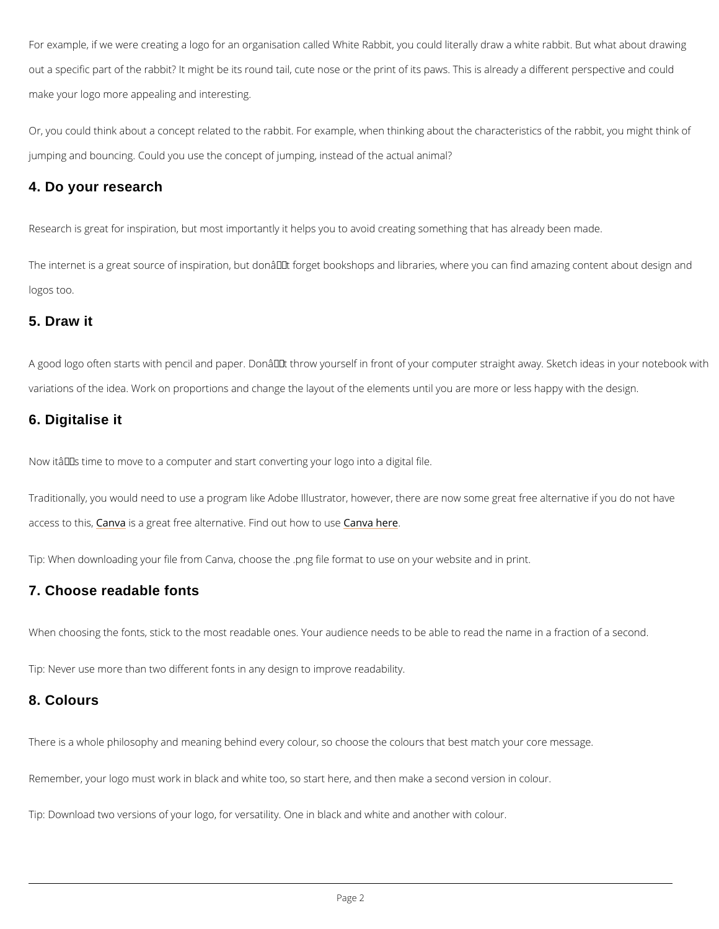For example, if we were creating a logo for an organisation called White Rabbit, you could li out a specific part of the rabbit? It might be its round tail, cute nose or the print of its paws make your logo more appealing and interesting.

Or, you could think about a concept related to the rabbit. For example, when thinking about the characteristic jumping and bouncing. Could you use the concept of jumping, instead of the actual animal?

The internet is a great source of inspiration, but donâ $\in$   $\mathbb {M}$ t forget bookshops and libraries, wh logos too.

#### 4. Do your research

Research is great for inspiration, but most importantly it helps you to avoid creating something

#### 5. Draw it

A good logo often starts with pencil and paper. Don't throw yourself in front of your comp variations of the idea. Work on proportions and change the layout of the elements until you a

#### 6. Digitalise it

Now itâ $\epsilon$ ™s time to move to a computer and start converting your logo into a digital file.

Traditionally, you would need to use a program like Adobe Illustrator, however, there are now access to Ctahnist as a great free alternative. Find an online out to use

Tip: When downloading your file from Canva, choose the .png file format to use on your webs

#### 7. Choose readable fonts

When choosing the fonts, stick to the most readable ones. Your audience needs to be able to

Tip: Never use more than two different fonts in any design to improve readability.

There is a whole philosophy and meaning behind every colour, so choose the colours that be

Remember, your logo must work in black and white too, so start here, and then make a secon

Tip: Download two versions of your logo, for versatility. One in black and white and another